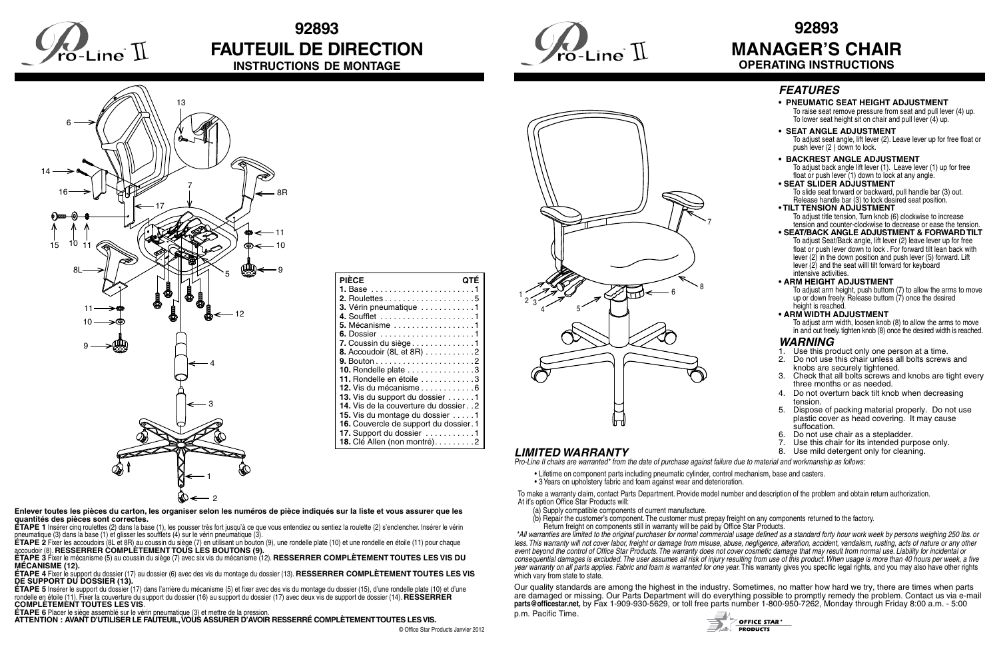**Enlever toutes les pièces du carton, les organiser selon les numéros de pièce indiqués sur la liste et vous assurer que les quantités des pièces sont correctes.**

**ÉTAPE 1** Insérer cinq roulettes (2) dans la base (1), les pousser très fort jusqu'à ce que vous entendiez ou sentiez la roulette (2) s'enclencher. Insérer le vérin pneumatique (3) dans la base (1) et glisser les soufflets (4) sur le vérin pneumatique (3).

**ÉTAPE 2** Fixer les accoudoirs (8L et 8R) au coussin du siège (7) en utilisant un bouton (9), une rondelle plate (10) et une rondelle en étoile (11) pour chaque accoudoir (8). **RESSERRER COMPLÈTEMENT TOUS LES BOUTONS (9).**

**ÉTAPE 3** Fixer le mécanisme (5) au coussin du siège (7) avec six vis du mécanisme (12). **RESSERRER COMPLÈTEMENT TOUTES LES VIS DU MÉCANISME (12).**

**ÉTAPE 4** Fixer le support du dossier (17) au dossier (6) avec des vis du montage du dossier (13). **RESSERRER COMPLÈTEMENT TOUTES LES VIS DE SUPPORT DU DOSSIER (13).**

- Lifetime on component parts including pneumatic cylinder, control mechanism, base and casters.
- 3 Years on upholstery fabric and foam against wear and deterioration.

**ÉTAPE 5** Insérer le support du dossier (17) dans l'arrière du mécanisme (5) et fixer avec des vis du montage du dossier (15), d'une rondelle plate (10) et d'une rondelle en étoile (11). Fixer la couverture du support du dossier (16) au support du dossier (17) avec deux vis de support de dossier (14). **RESSERRER COMPLÈTEMENT TOUTES LES VIS**.

**ÉTAPE 6** Placer le siège assemblé sur le vérin pneumatique (3) et mettre de la pression.

*\*All warranties are limited to the original purchaser for normal commercial usage defined as a standard forty hour work week by persons weighing 250 lbs. or less. This warranty will not cover labor, freight or damage from misuse, abuse, negligence, alteration, accident, vandalism, rusting, acts of nature or any other*  event beyond the control of Office Star Products. The warranty does not cover cosmetic damage that may result from normal use. Liability for incidental or *consequential damages is excluded. The user assumes all risk of injury resulting from use of this product. When usage is more than 40 hours per week, a five year warranty on all parts applies. Fabric and foam is warranted for one year.* This warranty gives you specific legal rights, and you may also have other rights which vary from state to state.

**ATTENTION : AVANT D'UTILISER LE FAUTEUIL, VOUS ASSURER D'AVOIR RESSERRÉ COMPLÈTEMENT TOUTES LES VIS.**

# **92893 MANAGER'S CHAIR OPERATING INSTRUCTIONS**

## *WARNING*

- 1. Use this product only one person at a time.<br>2. Do not use this chair unless all bolts screws
- 2. Do not use this chair unless all bolts screws and knobs are securely tightened.
- 3. Check that all bolts screws and knobs are tight every three months or as needed.
- 4. Do not overturn back tilt knob when decreasing tension.
- 5. Dispose of packing material properly. Do not use plastic cover as head covering. It may cause suffocation.
- 6. Do not use chair as a stepladder.<br>7. Use this chair for its intended purre
- 7. Use this chair for its intended purpose only.<br>8. Use mild detergent only for cleaning.
- 

**OFFICE STAR<sup>®</sup> PRODUCTS** 

*Pro-Line II chairs are warranted\* from the date of purchase against failure due to material and workmanship as follows:*

To make a warranty claim, contact Parts Department. Provide model number and description of the problem and obtain return authorization. At it's option Office Star Products will:

 (a) Supply compatible components of current manufacture.

 (b) Repair the customer's component. The customer must prepay freight on any components returned to the factory. Return freight on components still in warranty will be paid by Office Star Products.

Our quality standards are among the highest in the industry. Sometimes, no matter how hard we try, there are times when parts are damaged or missing. Our Parts Department will do everything possible to promptly remedy the problem. Contact us via e-mail **parts@officestar.net,** by Fax 1-909-930-5629, or toll free parts number 1-800-950-7262, Monday through Friday 8:00 a.m. - 5:00 p.m. Pacific Time.



## *FEATURES*

- **PNEUMATIC SEAT HEIGHT ADJUSTMENT** To raise seat remove pressure from seat and pull lever (4) up. To lower seat height sit on chair and pull lever (4) up.
- **SEAT ANGLE ADJUSTMENT** To adjust seat angle, lift lever (2). Leave lever up for free float or push lever (2 ) down to lock.
- **BACKREST ANGLE ADJUSTMENT** To adjust back angle lift lever (1). Leave lever (1) up for free float or push lever (1) down to lock at any angle.
- **SEAT SLIDER ADJUSTMENT** To slide seat forward or backward, pull handle bar (3) out. Release handle bar (3) to lock desired seat position.
- **TILT TENSION ADJUSTMENT** To adjust title tension, Turn knob (6) clockwise to increase tension and counter-clockwise to decrease or ease the tension.
- **SEAT/BACK ANGLE ADJUSTMENT & FORWARD TILT** To adjust Seat/Back angle, lift lever (2) leave lever up for free float or push lever down to lock . For forward tilt lean back with lever (2) in the down position and push lever (5) forward. Lift lever  $(2)$  and the seat will tilt forward for keyboard intensive activities.
- **ARM HEIGHT ADJUSTMENT**
- To adjust arm height, push buttom (7) to allow the arms to move up or down freely. Release buttom (7) once the desired height is reached.
- **ARM WIDTH ADJUSTMENT**

 To adjust arm width, loosen knob (8) to allow the arms to move in and out freely. tighten knob (8) once the desired width is reached.



# **92893 FAUTEUIL DE DIRECTION INSTRUCTIONS DE MONTAGE**



| <b>PIÉCE</b><br>OTE                    |
|----------------------------------------|
|                                        |
|                                        |
| 3. Vérin pneumatique 1                 |
|                                        |
| 5. Mécanisme 1                         |
|                                        |
| 7. Coussin du siège 1                  |
| 8. Accoudoir (8L et 8R) 2              |
|                                        |
| 10. Rondelle plate 3                   |
| 11. Rondelle en étoile 3               |
| 12. Vis du mécanisme 6                 |
| 13. Vis du support du dossier 1        |
| 14. Vis de la couverture du dossier 2  |
| 15. Vis du montage du dossier 1        |
| 16. Couvercle de support du dossier. 1 |
| 17. Support du dossier 1               |
| 18. Clé Allen (non montré). 2          |



## **LIMITED WARRANTY**